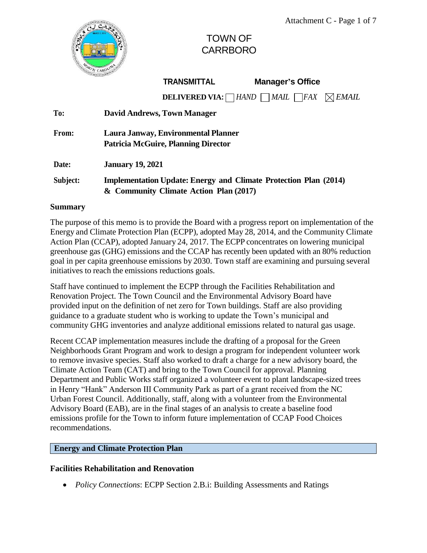

# TOWN OF CARRBORO

| TRANSMITTAL |  |  |
|-------------|--|--|

**Manager**'s Office

**DELIVERED VIA:** *HAND MAIL FAX EMAIL*

| To:      | <b>David Andrews, Town Manager</b>                                      |  |  |  |  |
|----------|-------------------------------------------------------------------------|--|--|--|--|
| From:    | Laura Janway, Environmental Planner                                     |  |  |  |  |
|          | <b>Patricia McGuire, Planning Director</b>                              |  |  |  |  |
| Date:    | <b>January 19, 2021</b>                                                 |  |  |  |  |
| Subject: | <b>Implementation Update: Energy and Climate Protection Plan (2014)</b> |  |  |  |  |
|          | & Community Climate Action Plan (2017)                                  |  |  |  |  |

## **Summary**

The purpose of this memo is to provide the Board with a progress report on implementation of the Energy and Climate Protection Plan (ECPP), adopted May 28, 2014, and the Community Climate Action Plan (CCAP), adopted January 24, 2017. The ECPP concentrates on lowering municipal greenhouse gas (GHG) emissions and the CCAP has recently been updated with an 80% reduction goal in per capita greenhouse emissions by 2030. Town staff are examining and pursuing several initiatives to reach the emissions reductions goals.

Staff have continued to implement the ECPP through the Facilities Rehabilitation and Renovation Project. The Town Council and the Environmental Advisory Board have provided input on the definition of net zero for Town buildings. Staff are also providing guidance to a graduate student who is working to update the Town's municipal and community GHG inventories and analyze additional emissions related to natural gas usage.

Recent CCAP implementation measures include the drafting of a proposal for the Green Neighborhoods Grant Program and work to design a program for independent volunteer work to remove invasive species. Staff also worked to draft a charge for a new advisory board, the Climate Action Team (CAT) and bring to the Town Council for approval. Planning Department and Public Works staff organized a volunteer event to plant landscape-sized trees in Henry "Hank" Anderson III Community Park as part of a grant received from the NC Urban Forest Council. Additionally, staff, along with a volunteer from the Environmental Advisory Board (EAB), are in the final stages of an analysis to create a baseline food emissions profile for the Town to inform future implementation of CCAP Food Choices recommendations.

# **Energy and Climate Protection Plan**

# **Facilities Rehabilitation and Renovation**

*Policy Connections*: ECPP Section 2.B.i: Building Assessments and Ratings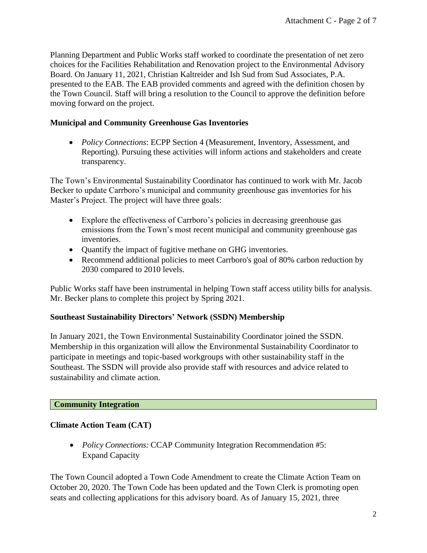Planning Department and Public Works staff worked to coordinate the presentation of net zero choices for the Facilities Rehabilitation and Renovation project to the Environmental Advisory Board. On January 11, 2021, Christian Kaltreider and Ish Sud from Sud Associates, P.A. presented to the EAB. The EAB provided comments and agreed with the definition chosen by the Town Council. Staff will bring a resolution to the Council to approve the definition before moving forward on the project.

## **Municipal and Community Greenhouse Gas Inventories**

 *Policy Connections*: ECPP Section 4 (Measurement, Inventory, Assessment, and Reporting). Pursuing these activities will inform actions and stakeholders and create transparency.

The Town's Environmental Sustainability Coordinator has continued to work with Mr. Jacob Becker to update Carrboro's municipal and community greenhouse gas inventories for his Master's Project. The project will have three goals:

- Explore the effectiveness of Carrboro's policies in decreasing greenhouse gas emissions from the Town's most recent municipal and community greenhouse gas inventories.
- Quantify the impact of fugitive methane on GHG inventories.
- Recommend additional policies to meet Carrboro's goal of 80% carbon reduction by 2030 compared to 2010 levels.

Public Works staff have been instrumental in helping Town staff access utility bills for analysis. Mr. Becker plans to complete this project by Spring 2021.

## **Southeast Sustainability Directors' Network (SSDN) Membership**

In January 2021, the Town Environmental Sustainability Coordinator joined the SSDN. Membership in this organization will allow the Environmental Sustainability Coordinator to participate in meetings and topic-based workgroups with other sustainability staff in the Southeast. The SSDN will provide also provide staff with resources and advice related to sustainability and climate action.

## **Community Integration**

## **Climate Action Team (CAT)**

 *Policy Connections:* CCAP Community Integration Recommendation #5: Expand Capacity

The Town Council adopted a Town Code Amendment to create the Climate Action Team on October 20, 2020. The Town Code has been updated and the Town Clerk is promoting open seats and collecting applications for this advisory board. As of January 15, 2021, three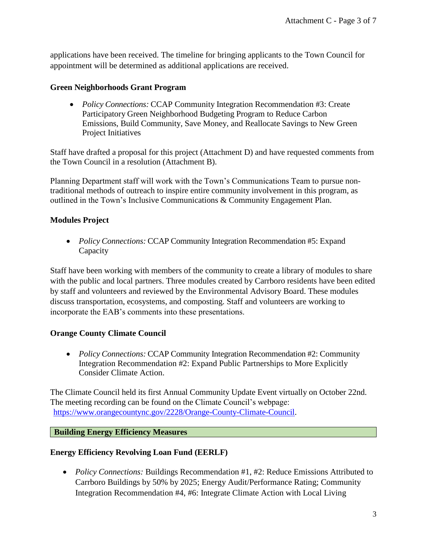applications have been received. The timeline for bringing applicants to the Town Council for appointment will be determined as additional applications are received.

#### **Green Neighborhoods Grant Program**

 *Policy Connections:* CCAP Community Integration Recommendation #3: Create Participatory Green Neighborhood Budgeting Program to Reduce Carbon Emissions, Build Community, Save Money, and Reallocate Savings to New Green Project Initiatives

Staff have drafted a proposal for this project (Attachment D) and have requested comments from the Town Council in a resolution (Attachment B).

Planning Department staff will work with the Town's Communications Team to pursue nontraditional methods of outreach to inspire entire community involvement in this program, as outlined in the Town's Inclusive Communications & Community Engagement Plan.

## **Modules Project**

 *Policy Connections:* CCAP Community Integration Recommendation #5: Expand Capacity

Staff have been working with members of the community to create a library of modules to share with the public and local partners. Three modules created by Carrboro residents have been edited by staff and volunteers and reviewed by the Environmental Advisory Board. These modules discuss transportation, ecosystems, and composting. Staff and volunteers are working to incorporate the EAB's comments into these presentations.

# **Orange County Climate Council**

 *Policy Connections:* CCAP Community Integration Recommendation #2: Community Integration Recommendation #2: Expand Public Partnerships to More Explicitly Consider Climate Action.

The Climate Council held its first Annual Community Update Event virtually on October 22nd. The meeting recording can be found on the Climate Council's webpage: [https://www.orangecountync.gov/2228/Orange-County-Climate-Council.](https://www.orangecountync.gov/2228/Orange-County-Climate-Council)

## **Building Energy Efficiency Measures**

## **Energy Efficiency Revolving Loan Fund (EERLF)**

• Policy Connections: Buildings Recommendation #1, #2: Reduce Emissions Attributed to Carrboro Buildings by 50% by 2025; Energy Audit/Performance Rating; Community Integration Recommendation #4, #6: Integrate Climate Action with Local Living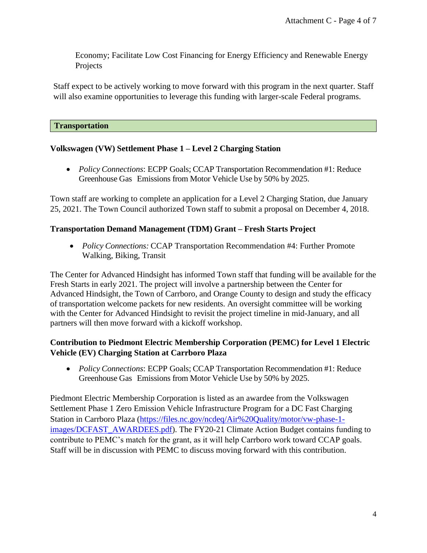Economy; Facilitate Low Cost Financing for Energy Efficiency and Renewable Energy Projects

Staff expect to be actively working to move forward with this program in the next quarter. Staff will also examine opportunities to leverage this funding with larger-scale Federal programs.

#### **Transportation**

## **Volkswagen (VW) Settlement Phase 1 – Level 2 Charging Station**

 *Policy Connections*: ECPP Goals; CCAP Transportation Recommendation #1: Reduce Greenhouse Gas Emissions from Motor Vehicle Use by 50% by 2025.

Town staff are working to complete an application for a Level 2 Charging Station, due January 25, 2021. The Town Council authorized Town staff to submit a proposal on December 4, 2018.

## **Transportation Demand Management (TDM) Grant – Fresh Starts Project**

 *Policy Connections:* CCAP Transportation Recommendation #4: Further Promote Walking, Biking, Transit

The Center for Advanced Hindsight has informed Town staff that funding will be available for the Fresh Starts in early 2021. The project will involve a partnership between the Center for Advanced Hindsight, the Town of Carrboro, and Orange County to design and study the efficacy of transportation welcome packets for new residents. An oversight committee will be working with the Center for Advanced Hindsight to revisit the project timeline in mid-January, and all partners will then move forward with a kickoff workshop.

# **Contribution to Piedmont Electric Membership Corporation (PEMC) for Level 1 Electric Vehicle (EV) Charging Station at Carrboro Plaza**

 *Policy Connections*: ECPP Goals; CCAP Transportation Recommendation #1: Reduce Greenhouse Gas Emissions from Motor Vehicle Use by 50% by 2025.

Piedmont Electric Membership Corporation is listed as an awardee from the Volkswagen Settlement Phase 1 Zero Emission Vehicle Infrastructure Program for a DC Fast Charging Station in Carrboro Plaza [\(https://files.nc.gov/ncdeq/Air%20Quality/motor/vw-phase-1](https://files.nc.gov/ncdeq/Air%20Quality/motor/vw-phase-1-images/DCFAST_AWARDEES.pdf) [images/DCFAST\\_AWARDEES.pdf\)](https://files.nc.gov/ncdeq/Air%20Quality/motor/vw-phase-1-images/DCFAST_AWARDEES.pdf). The FY20-21 Climate Action Budget contains funding to contribute to PEMC's match for the grant, as it will help Carrboro work toward CCAP goals. Staff will be in discussion with PEMC to discuss moving forward with this contribution.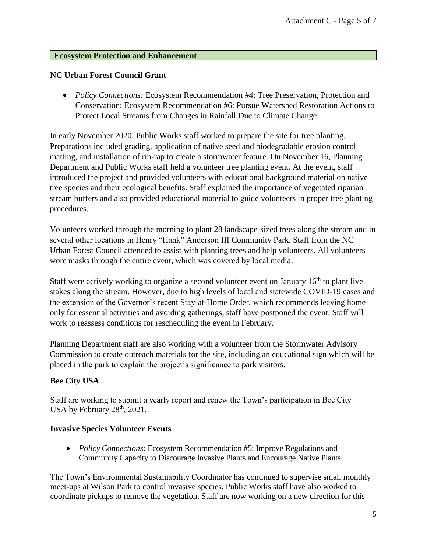#### **Ecosystem Protection and Enhancement**

## **NC Urban Forest Council Grant**

 *Policy Connections:* Ecosystem Recommendation #4: Tree Preservation, Protection and Conservation; Ecosystem Recommendation #6: Pursue Watershed Restoration Actions to Protect Local Streams from Changes in Rainfall Due to Climate Change

In early November 2020, Public Works staff worked to prepare the site for tree planting. Preparations included grading, application of native seed and biodegradable erosion control matting, and installation of rip-rap to create a stormwater feature. On November 16, Planning Department and Public Works staff held a volunteer tree planting event. At the event, staff introduced the project and provided volunteers with educational background material on native tree species and their ecological benefits. Staff explained the importance of vegetated riparian stream buffers and also provided educational material to guide volunteers in proper tree planting procedures.

Volunteers worked through the morning to plant 28 landscape-sized trees along the stream and in several other locations in Henry "Hank" Anderson III Community Park. Staff from the NC Urban Forest Council attended to assist with planting trees and help volunteers. All volunteers wore masks through the entire event, which was covered by local media.

Staff were actively working to organize a second volunteer event on January  $16<sup>th</sup>$  to plant live stakes along the stream. However, due to high levels of local and statewide COVID-19 cases and the extension of the Governor's recent Stay-at-Home Order, which recommends leaving home only for essential activities and avoiding gatherings, staff have postponed the event. Staff will work to reassess conditions for rescheduling the event in February.

Planning Department staff are also working with a volunteer from the Stormwater Advisory Commission to create outreach materials for the site, including an educational sign which will be placed in the park to explain the project's significance to park visitors.

## **Bee City USA**

Staff are working to submit a yearly report and renew the Town's participation in Bee City USA by February 28<sup>th</sup>, 2021.

## **Invasive Species Volunteer Events**

 *Policy Connections:* Ecosystem Recommendation #5: Improve Regulations and Community Capacity to Discourage Invasive Plants and Encourage Native Plants

The Town's Environmental Sustainability Coordinator has continued to supervise small monthly meet-ups at Wilson Park to control invasive species. Public Works staff have also worked to coordinate pickups to remove the vegetation. Staff are now working on a new direction for this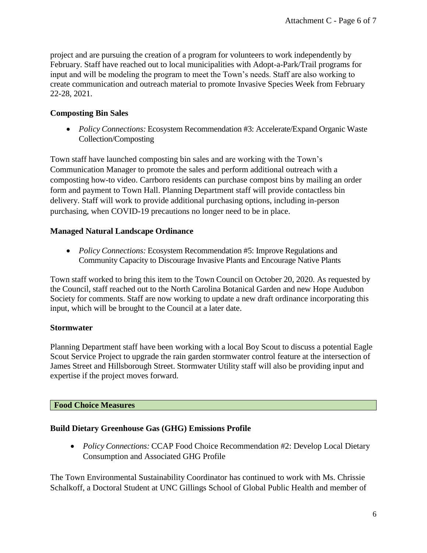project and are pursuing the creation of a program for volunteers to work independently by February. Staff have reached out to local municipalities with Adopt-a-Park/Trail programs for input and will be modeling the program to meet the Town's needs. Staff are also working to create communication and outreach material to promote Invasive Species Week from February 22-28, 2021.

## **Composting Bin Sales**

 *Policy Connections:* Ecosystem Recommendation #3: Accelerate/Expand Organic Waste Collection/Composting

Town staff have launched composting bin sales and are working with the Town's Communication Manager to promote the sales and perform additional outreach with a composting how-to video. Carrboro residents can purchase compost bins by mailing an order form and payment to Town Hall. Planning Department staff will provide contactless bin delivery. Staff will work to provide additional purchasing options, including in-person purchasing, when COVID-19 precautions no longer need to be in place.

## **Managed Natural Landscape Ordinance**

 *Policy Connections:* Ecosystem Recommendation #5: Improve Regulations and Community Capacity to Discourage Invasive Plants and Encourage Native Plants

Town staff worked to bring this item to the Town Council on October 20, 2020. As requested by the Council, staff reached out to the North Carolina Botanical Garden and new Hope Audubon Society for comments. Staff are now working to update a new draft ordinance incorporating this input, which will be brought to the Council at a later date.

## **Stormwater**

Planning Department staff have been working with a local Boy Scout to discuss a potential Eagle Scout Service Project to upgrade the rain garden stormwater control feature at the intersection of James Street and Hillsborough Street. Stormwater Utility staff will also be providing input and expertise if the project moves forward.

## **Food Choice Measures**

## **Build Dietary Greenhouse Gas (GHG) Emissions Profile**

 *Policy Connections:* CCAP Food Choice Recommendation #2: Develop Local Dietary Consumption and Associated GHG Profile

The Town Environmental Sustainability Coordinator has continued to work with Ms. Chrissie Schalkoff, a Doctoral Student at UNC Gillings School of Global Public Health and member of